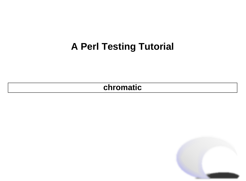#### **A Perl Testing Tutorial**

**[chromatic](mailto:chromatic@wgz.org)**

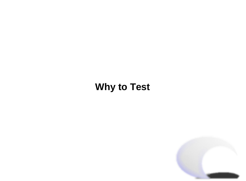#### **Why to Test**

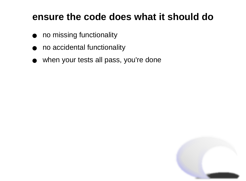#### **ensure the code does what it should do**

- no missing functionality
- no accidental functionality
- when your tests all pass, you're done

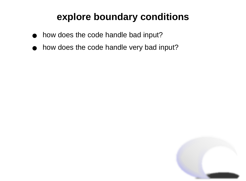### **explore boundary conditions**

- how does the code handle bad input?
- how does the code handle very bad input?

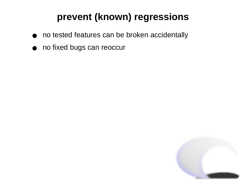## **prevent (known) regressions**

- no tested features can be broken accidentally
- no fixed bugs can reoccur

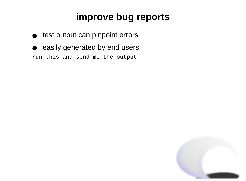## **improve bug reports**

- test output can pinpoint errors
- easily generated by end users run this and send me the output

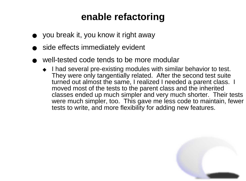## **enable refactoring**

- you break it, you know it right away
- side effects immediately evident
- well-tested code tends to be more modular
	- ◆ I had several pre-existing modules with similar behavior to test. They were only tangentially related. After the second test suite turned out almost the same, I realized I needed a parent class. I moved most of the tests to the parent class and the inherited classes ended up much simpler and very much shorter. Their tests were much simpler, too. This gave me less code to maintain, fewer tests to write, and more flexibility for adding new features.

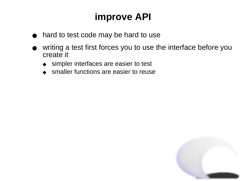## **improve API**

- hard to test code may be hard to use
- writing a test first forces you to use the interface before you create it
	- ◆ simpler interfaces are easier to test
	- ◆ smaller functions are easier to reuse

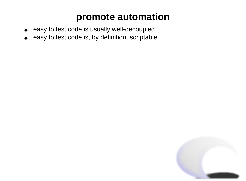#### **promote automation**

- easy to test code is usually well-decoupled
- easy to test code is, by definition, scriptable

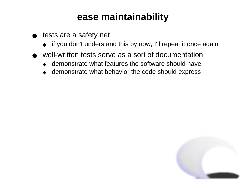#### **ease maintainability**

- tests are a safety net
	- ◆ if you don't understand this by now, I'll repeat it once again
- well-written tests serve as a sort of documentation
	- ◆ demonstrate what features the software should have
	- ◆ demonstrate what behavior the code should express

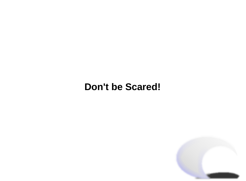#### **Don't be Scared!**

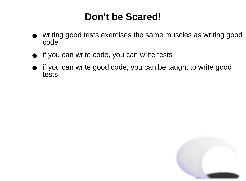#### **Don't be Scared!**

- writing good tests exercises the same muscles as writing good code
- if you can write code, you can write tests
- if you can write good code, you can be taught to write good tests

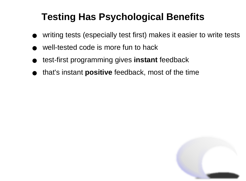## **Testing Has Psychological Benefits**

- writing tests (especially test first) makes it easier to write tests
- well-tested code is more fun to hack
- test-first programming gives **instant** feedback
- that's instant **positive** feedback, most of the time

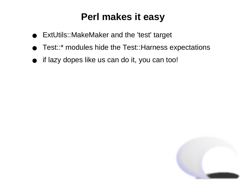#### **Perl makes it easy**

- ExtUtils::MakeMaker and the 'test' target
- Test::\* modules hide the Test::Harness expectations
- if lazy dopes like us can do it, you can too!

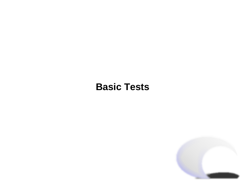#### **Basic Tests**

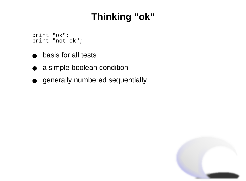## **Thinking "ok"**

 print "ok"; print "not ok";

- basis for all tests
- a simple boolean condition
- generally numbered sequentially

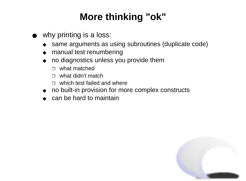## **More thinking "ok"**

- why printing is a loss:
	- ◆ same arguments as using subroutines (duplicate code)
	- ◆ manual test renumbering
	- ◆ no diagnostics unless you provide them
		- ❐ what matched
		- ❐ what didn't match
		- ❐ which test failed and where
	- ◆ no built-in provision for more complex constructs
	- ◆ can be hard to maintain

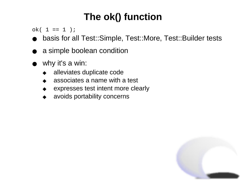## **The ok() function**

 $ok(1 == 1)$ ;

- basis for all Test::Simple, Test::More, Test::Builder tests
- a simple boolean condition
- why it's a win:
	- alleviates duplicate code
	- associates a name with a test
	- expresses test intent more clearly
	- avoids portability concerns

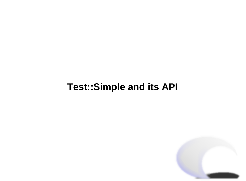#### **Test::Simple and its API**

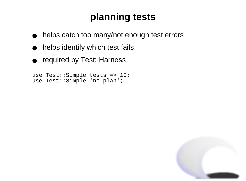## **planning tests**

- helps catch too many/not enough test errors
- helps identify which test fails
- required by Test:: Harness

```
				use Test::Simple tests => 10;
				use Test::Simple 'no_plan';
```
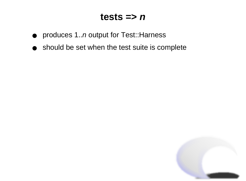#### $tests \Rightarrow n$

- produces 1..*n* output for Test::Harness
- should be set when the test suite is complete

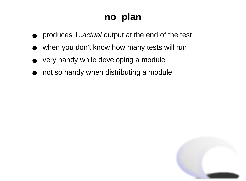### **no\_plan**

- produces 1..actual output at the end of the test
- when you don't know how many tests will run
- very handy while developing a module
- not so handy when distributing a module

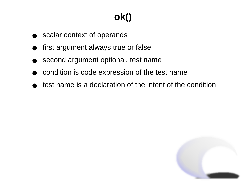# **ok()**

- scalar context of operands
- first argument always true or false
- second argument optional, test name
- condition is code expression of the test name
- test name is a declaration of the intent of the condition

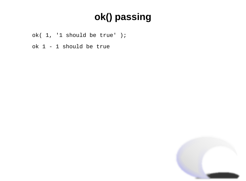## **ok() passing**

- ok( 1, '1 should be true' );
- ok 1 1 should be true

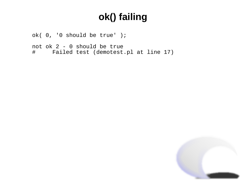## **ok() failing**

 ok( 0, '0 should be true' );

```
			not ok 2 - 0 should be true
			# Failed test (demotest.pl at line 17)
```
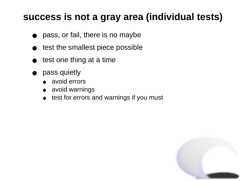#### **success is not a gray area (individual tests)**

- pass, or fail, there is no maybe
- test the smallest piece possible
- test one thing at a time
- pass quietly
	- ◆ avoid errors
	- ◆ avoid warnings
	- ◆ test for errors and warnings if you must

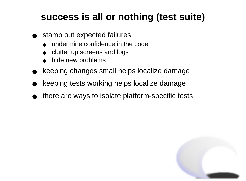### **success is all or nothing (test suite)**

- stamp out expected failures
	- ◆ undermine confidence in the code
	- ◆ clutter up screens and logs
	- hide new problems
- keeping changes small helps localize damage
- keeping tests working helps localize damage
- there are ways to isolate platform-specific tests

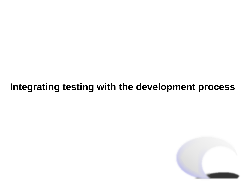#### **Integrating testing with the development process**

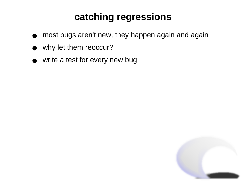## **catching regressions**

- most bugs aren't new, they happen again and again
- why let them reoccur?
- write a test for every new bug

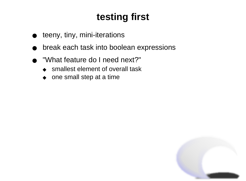## **testing first**

- teeny, tiny, mini-iterations
- break each task into boolean expressions
- "What feature do I need next?"
	- ◆ smallest element of overall task
	- ◆ one small step at a time

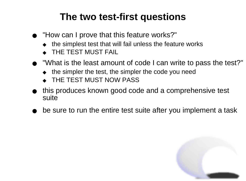### **The two test-first questions**

- "How can I prove that this feature works?"
	- $\bullet$  the simplest test that will fail unless the feature works
	- ◆ THE TEST MUST FAIL
- "What is the least amount of code I can write to pass the test?"
	- $\bullet$  the simpler the test, the simpler the code you need
	- ◆ THE TEST MUST NOW PASS
- this produces known good code and a comprehensive test suite
- be sure to run the entire test suite after you implement a task

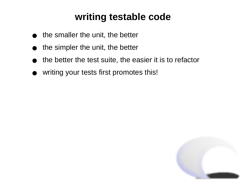### **writing testable code**

- the smaller the unit, the better
- the simpler the unit, the better
- the better the test suite, the easier it is to refactor
- writing your tests first promotes this!

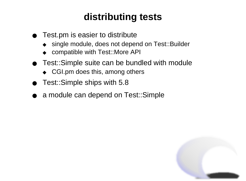## **distributing tests**

- Test.pm is easier to distribute
	- ◆ single module, does not depend on Test::Builder
	- ◆ compatible with Test::More API
- Test::Simple suite can be bundled with module
	- ◆ CGI.pm does this, among others
- Test::Simple ships with 5.8
- a module can depend on Test::Simple

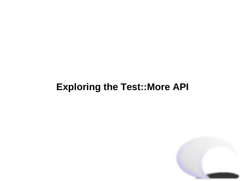### **Exploring the Test::More API**

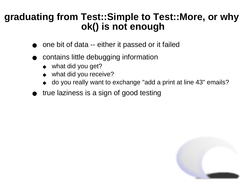#### **graduating from Test::Simple to Test::More, or why ok() is not enough**

- one bit of data -- either it passed or it failed
- contains little debugging information
	- what did you get?
	- what did you receive?
	- do you really want to exchange "add a print at line 43" emails?
- true laziness is a sign of good testing

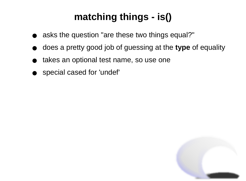## **matching things - is()**

- asks the question "are these two things equal?"
- does a pretty good job of guessing at the **type** of equality
- takes an optional test name, so use one
- special cased for 'undef'

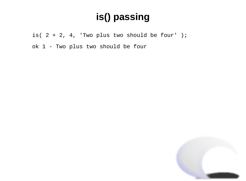## **is() passing**

is(  $2 + 2$ ,  $4$ , 'Two plus two should be four' );

 ok 1 - Two plus two should be four

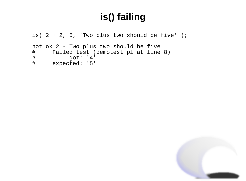## **is() failing**

```
is( 2 + 2, 5, 'Two plus two should be five' );
				not ok 2 - Two plus two should be five
# Failed test (demotest.pl at line 8)<br># 90t: '4'
				# got: '4'
      expected: '5'
```
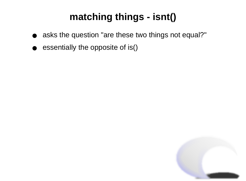## **matching things - isnt()**

- asks the question "are these two things not equal?"
- essentially the opposite of is()

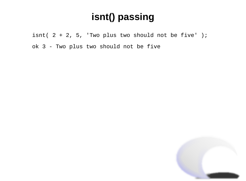### **isnt() passing**

isnt(  $2 + 2$ , 5, 'Two plus two should not be five' ); ok 3 - Two plus two should not be five

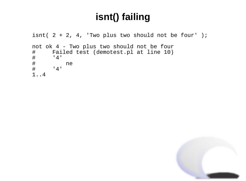## **isnt() failing**

```
isnt( 2 + 2, 4, 'Two plus two should not be four' );
    				not ok 4 - Two plus two should not be four
    # Failed test (demotest.pl at line 10)<br># '4'<br># ne<br># '4'
           '4'				# ne
           				# '4'
    				1..4
```
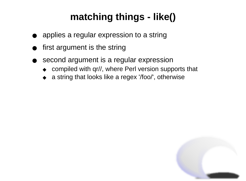## **matching things - like()**

- applies a regular expression to a string
- first argument is the string
- second argument is a regular expression
	- ◆ compiled with qr//, where Perl version supports that
	- a string that looks like a regex '/foo/', otherwise

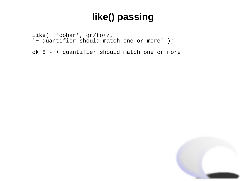## **like() passing**

 like( 'foobar', qr/fo+/, '+ quantifier should match one or more' );

 ok 5 - + quantifier should match one or more

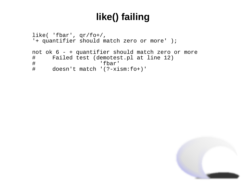### **like() failing**

```
				like( 'fbar', qr/fo+/,
 					'+ quantifier should match zero or more' );
				not ok 6 - + quantifier should match zero or more
				# Failed test (demotest.pl at line 12)
"fbar;<br># doesn't match '(?-xi
      doesn't match '(?-xism:fo+)'
```
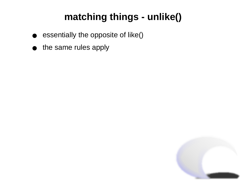## **matching things - unlike()**

- essentially the opposite of like()
- the same rules apply

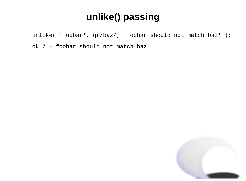## **unlike() passing**

 unlike( 'foobar', qr/baz/, 'foobar should not match baz' );

 ok 7 - foobar should not match baz

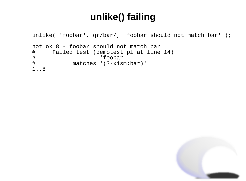### **unlike() failing**

```
				unlike( 'foobar', qr/bar/, 'foobar should not match bar' );
				not ok 8 - foobar should not match bar
				# Failed test (demotest.pl at line 14)
				# 'foobar'
            matches '(?-xism:bar)'
				1..8
```
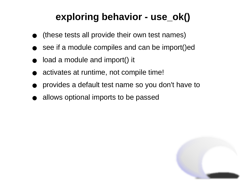## **exploring behavior - use\_ok()**

- (these tests all provide their own test names)
- see if a module compiles and can be import()ed
- load a module and import() it
- activates at runtime, not compile time!
- provides a default test name so you don't have to
- allows optional imports to be passed

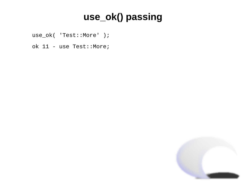## **use\_ok() passing**

 use\_ok( 'Test::More' );

 ok 11 - use Test::More;

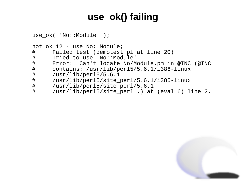## **use\_ok() failing**

```
				use_ok( 'No::Module' );
				not ok 12 - use No::Module;
# Failed test (demotest.pl at line 20)<br># Tried to use 'No::Module'.
				# Tried to use 'No::Module'.
				# Error: Can't locate No/Module.pm in @INC (@INC
				# contains: /usr/lib/perl5/5.6.1/i386-linux
				# /usr/lib/perl5/5.6.1
				# /usr/lib/perl5/site_perl/5.6.1/i386-linux
				# /usr/lib/perl5/site_perl/5.6.1
      /usr/lib/perl5/site\_perl.) at (eval 6) line 2.
```
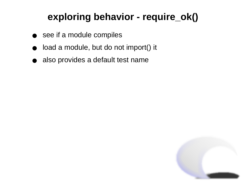## **exploring behavior - require\_ok()**

- see if a module compiles
- load a module, but do not import() it
- also provides a default test name

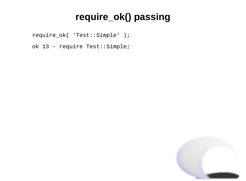## **require\_ok() passing**

```
				require_ok( 'Test::Simple' );
```

```
				ok 13 - require Test::Simple;
```
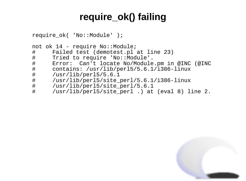### **require\_ok() failing**

```
				require_ok( 'No::Module' );
				not ok 14 - require No::Module;
# Failed test (demotest.pl at line 23)<br># Tried to require 'No::Module'.
# Tried to require 'No::Module'.<br># Error: Can't locate No/Module
				# Error: Can't locate No/Module.pm in @INC (@INC
				# contains: /usr/lib/perl5/5.6.1/i386-linux
				# /usr/lib/perl5/5.6.1
				# /usr/lib/perl5/site_perl/5.6.1/i386-linux
				# /usr/lib/perl5/site_perl/5.6.1
       /usr/lib/perl5/site perl.) at (eval 8) line 2.
```
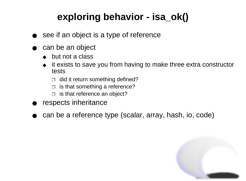## **exploring behavior - isa\_ok()**

- see if an object is a type of reference
- can be an object
	- ◆ but not a class
	- ◆ it exists to save you from having to make three extra constructor tests
		- $\Box$  did it return something defined?
		- $\Box$  is that something a reference?
		- $\Box$  is that reference an object?
- respects inheritance
- can be a reference type (scalar, array, hash, io, code)

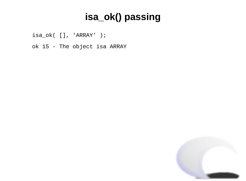## **isa\_ok() passing**

 isa\_ok( [], 'ARRAY' );

 ok 15 - The object isa ARRAY

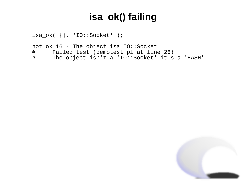## **isa\_ok() failing**

```
isa\_ok( \{\}, 'IO::Socket' );
```
 not ok 16 - The object isa IO::Socket # Failed test (demotest.pl at line 26)<br># The object isn't a 'IO::Socket' it's The object isn't a 'IO::Socket' it's a 'HASH'

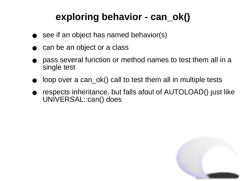## **exploring behavior - can\_ok()**

- see if an object has named behavior(s)
- can be an object or a class
- pass several function or method names to test them all in a single test
- loop over a can\_ok() call to test them all in multiple tests
- respects inheritance, but falls afoul of AUTOLOAD() just like UNIVERSAL::can() does

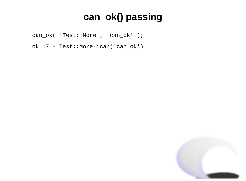## **can\_ok() passing**

 can\_ok( 'Test::More', 'can\_ok' );

 ok 17 - Test::More->can('can\_ok')

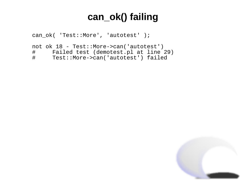### **can\_ok() failing**

```
				can_ok( 'Test::More', 'autotest' );
```

```
				not ok 18 - Test::More->can('autotest')
# Failed test (demotest.pl at line 29)<br># Test::More->can('autotest') failed
        Test::More->can('autotest') failed
```
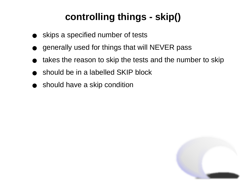## **controlling things - skip()**

- skips a specified number of tests
- generally used for things that will NEVER pass
- takes the reason to skip the tests and the number to skip
- should be in a labelled SKIP block
- should have a skip condition

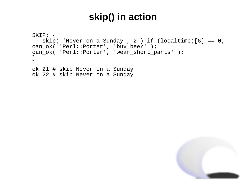#### **skip() in action**

```
				SKIP: {
   skip( 'Never on a Sunday', 2 ) if (localtime)[6] == 0;					can_ok( 'Perl::Porter', 'buy_beer' );
 					can_ok( 'Perl::Porter', 'wear_short_pants' );
				}
				ok 21 # skip Never on a Sunday
```

```
				ok 22 # skip Never on a Sunday
```
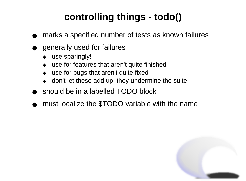## **controlling things - todo()**

- marks a specified number of tests as known failures
- generally used for failures
	- ◆ use sparingly!
	- ◆ use for features that aren't quite finished
	- use for bugs that aren't quite fixed
	- ◆ don't let these add up: they undermine the suite
- should be in a labelled TODO block
- must localize the \$TODO variable with the name

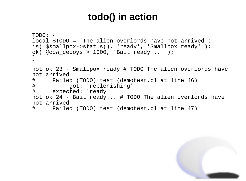### **todo() in action**

```
					TODO: {
      local $TODO = 'The alien overlords have not arrived';
      						is( $smallpox->status(), 'ready', 'Smallpox ready' );
      						ok( @cow_decoys > 1000, 'Bait ready...' );
					}
     					not ok 23 - Smallpox ready # TODO The alien overlords have
     					not arrived
     					# Failed (TODO) test (demotest.pl at line 46)
     					# got: 'replenishing'
           expected: 'ready'
     					not ok 24 - Bait ready... # TODO The alien overlords have
     					not arrived
     					# Failed (TODO) test (demotest.pl at line 47)
```
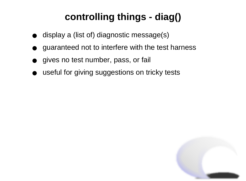## **controlling things - diag()**

- display a (list of) diagnostic message(s)
- guaranteed not to interfere with the test harness
- gives no test number, pass, or fail
- useful for giving suggestions on tricky tests

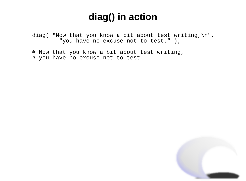#### **diag() in action**

 diag( "Now that you know a bit about test writing,\n", "you have no excuse not to test." );

 # Now that you know a bit about test writing, # you have no excuse not to test.

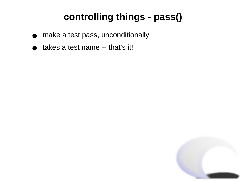## **controlling things - pass()**

- make a test pass, unconditionally
- takes a test name -- that's it!

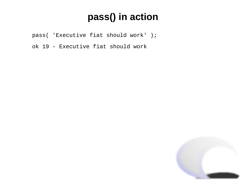## **pass() in action**

- pass( 'Executive fiat should work' );
- ok 19 Executive fiat should work

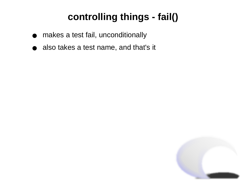## **controlling things - fail()**

- makes a test fail, unconditionally
- also takes a test name, and that's it